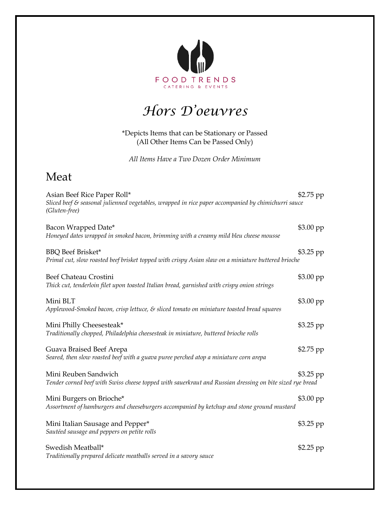

## *Hors D'oeuvres*

\*Depicts Items that can be Stationary or Passed (All Other Items Can be Passed Only)

*All Items Have a Two Dozen Order Minimum* 

## Meat

| Asian Beef Rice Paper Roll*<br>Sliced beef $\mathcal E$ seasonal julienned vegetables, wrapped in rice paper accompanied by chimichurri sauce<br>(Gluten-free) | $$2.75$ pp |
|----------------------------------------------------------------------------------------------------------------------------------------------------------------|------------|
| Bacon Wrapped Date*<br>Honeyed dates wrapped in smoked bacon, brimming with a creamy mild bleu cheese mousse                                                   | $$3.00$ pp |
| <b>BBQ</b> Beef Brisket*<br>Primal cut, slow roasted beef brisket topped with crispy Asian slaw on a miniature buttered brioche                                | \$3.25 pp  |
| Beef Chateau Crostini<br>Thick cut, tenderloin filet upon toasted Italian bread, garnished with crispy onion strings                                           | $$3.00$ pp |
| Mini BLT<br>Applewood-Smoked bacon, crisp lettuce, $\varepsilon$ sliced tomato on miniature toasted bread squares                                              | $$3.00$ pp |
| Mini Philly Cheesesteak*<br>Traditionally chopped, Philadelphia cheesesteak in miniature, buttered brioche rolls                                               | $$3.25$ pp |
| Guava Braised Beef Arepa<br>Seared, then slow roasted beef with a guava puree perched atop a miniature corn arepa                                              | \$2.75 pp  |
| Mini Reuben Sandwich<br>Tender corned beef with Swiss cheese topped with sauerkraut and Russian dressing on bite sized rye bread                               | $$3.25$ pp |
| Mini Burgers on Brioche*<br>Assortment of hamburgers and cheeseburgers accompanied by ketchup and stone ground mustard                                         | $$3.00$ pp |
| Mini Italian Sausage and Pepper*<br>Sautéed sausage and peppers on petite rolls                                                                                | \$3.25 pp  |
| Swedish Meatball*<br>Traditionally prepared delicate meatballs served in a savory sauce                                                                        | \$2.25 pp  |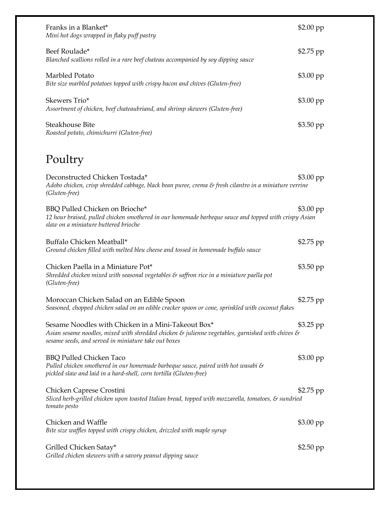| Franks in a Blanket*<br>Mini hot dogs wrapped in flaky puff pastry                                                                                                                                                                     | $$2.00$ pp |
|----------------------------------------------------------------------------------------------------------------------------------------------------------------------------------------------------------------------------------------|------------|
| Beef Roulade*<br>Blanched scallions rolled in a rare beef chateau accompanied by soy dipping sauce                                                                                                                                     | \$2.75 pp  |
| Marbled Potato<br>Bite size marbled potatoes topped with crispy bacon and chives (Gluten-free)                                                                                                                                         | \$3.00 pp  |
| Skewers Trio*<br>Assortment of chicken, beef chateaubriand, and shrimp skewers (Gluten-free)                                                                                                                                           | \$3.00 pp  |
| Steakhouse Bite<br>Roasted potato, chimichurri (Gluten-free)                                                                                                                                                                           | \$3.50 pp  |
| Poultry                                                                                                                                                                                                                                |            |
| Deconstructed Chicken Tostada*<br>Adobo chicken, crisp shredded cabbage, black bean puree, crema & fresh cilantro in a miniature verrine<br>(Gluten-free)                                                                              | \$3.00 pp  |
| BBQ Pulled Chicken on Brioche*<br>12 hour braised, pulled chicken smothered in our homemade barbeque sauce and topped with crispy Asian<br>slaw on a miniature buttered brioche                                                        | $$3.00$ pp |
| Buffalo Chicken Meatball*<br>Ground chicken filled with melted bleu cheese and tossed in homemade buffalo sauce                                                                                                                        | \$2.75 pp  |
| Chicken Paella in a Miniature Pot*<br>Shredded chicken mixed with seasonal vegetables $\varepsilon$ saffron rice in a miniature paella pot<br>(Gluten-free)                                                                            | $$3.50$ pp |
| Moroccan Chicken Salad on an Edible Spoon<br>Seasoned, chopped chicken salad on an edible cracker spoon or cone, sprinkled with coconut flakes                                                                                         | \$2.75 pp  |
| Sesame Noodles with Chicken in a Mini-Takeout Box*<br>Asian sesame noodles, mixed with shredded chicken $\varepsilon$ julienne vegetables, garnished with chives $\varepsilon$<br>sesame seeds, and served in miniature take out boxes | $$3.25$ pp |
| <b>BBQ Pulled Chicken Taco</b><br>Pulled chicken smothered in our homemade barbeque sauce, paired with hot wasabi $\mathcal S$<br>pickled slaw and laid in a hard-shell, corn tortilla (Gluten-free)                                   | $$3.00$ pp |
| Chicken Caprese Crostini<br>Sliced herb-grilled chicken upon toasted Italian bread, topped with mozzarella, tomatoes, & sundried<br>tomato pesto                                                                                       | $$2.75$ pp |
| Chicken and Waffle<br>Bite size waffles topped with crispy chicken, drizzled with maple syrup                                                                                                                                          | $$3.00$ pp |
| Grilled Chicken Satay*<br>Grilled chicken skewers with a savory peanut dipping sauce                                                                                                                                                   | $$2.50$ pp |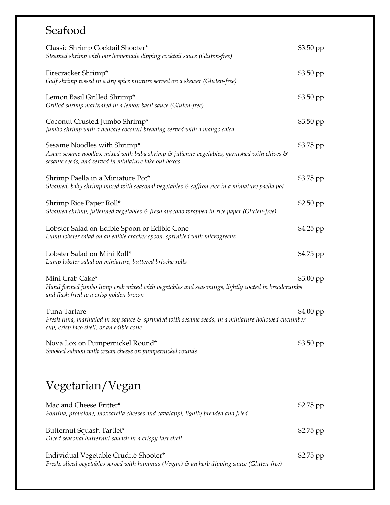## Seafood

| Classic Shrimp Cocktail Shooter*<br>Steamed shrimp with our homemade dipping cocktail sauce (Gluten-free)                                                                                                  | $$3.50$ pp |
|------------------------------------------------------------------------------------------------------------------------------------------------------------------------------------------------------------|------------|
| Firecracker Shrimp*<br>Gulf shrimp tossed in a dry spice mixture served on a skewer (Gluten-free)                                                                                                          | $$3.50$ pp |
| Lemon Basil Grilled Shrimp*<br>Grilled shrimp marinated in a lemon basil sauce (Gluten-free)                                                                                                               | $$3.50$ pp |
| Coconut Crusted Jumbo Shrimp*<br>Jumbo shrimp with a delicate coconut breading served with a mango salsa                                                                                                   | $$3.50$ pp |
| Sesame Noodles with Shrimp*<br>Asian sesame noodles, mixed with baby shrimp $\varepsilon$ julienne vegetables, garnished with chives $\varepsilon$<br>sesame seeds, and served in miniature take out boxes | \$3.75 pp  |
| Shrimp Paella in a Miniature Pot*<br>Steamed, baby shrimp mixed with seasonal vegetables $\varepsilon$ saffron rice in a miniature paella pot                                                              | \$3.75 pp  |
| Shrimp Rice Paper Roll*<br>Steamed shrimp, julienned vegetables & fresh avocado wrapped in rice paper (Gluten-free)                                                                                        | $$2.50$ pp |
| Lobster Salad on Edible Spoon or Edible Cone<br>Lump lobster salad on an edible cracker spoon, sprinkled with microgreens                                                                                  | \$4.25 pp  |
| Lobster Salad on Mini Roll*<br>Lump lobster salad on miniature, buttered brioche rolls                                                                                                                     | \$4.75 pp  |
| Mini Crab Cake*<br>Hand formed jumbo lump crab mixed with vegetables and seasonings, lightly coated in breadcrumbs<br>and flash fried to a crisp golden brown                                              | $$3.00$ pp |
| Tuna Tartare<br>Fresh tuna, marinated in soy sauce & sprinkled with sesame seeds, in a miniature hollowed cucumber<br>cup, crisp taco shell, or an edible cone                                             | $$4.00$ pp |
| Nova Lox on Pumpernickel Round*<br>Smoked salmon with cream cheese on pumpernickel rounds                                                                                                                  | \$3.50 pp  |
| Vegetarian/Vegan                                                                                                                                                                                           |            |
| Mac and Cheese Fritter*<br>Fontina, provolone, mozzarella cheeses and cavatappi, lightly breaded and fried                                                                                                 | $$2.75$ pp |
| Butternut Squash Tartlet*<br>Diced seasonal butternut squash in a crispy tart shell                                                                                                                        | \$2.75 pp  |
| Individual Vegetable Crudité Shooter*<br>Fresh, sliced vegetables served with hummus (Vegan) & an herb dipping sauce (Gluten-free)                                                                         | \$2.75 pp  |